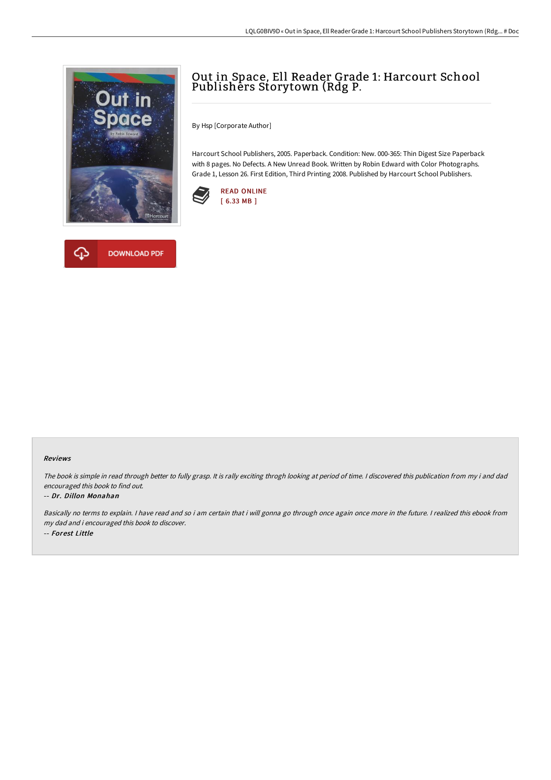

## Out in Space, Ell Reader Grade 1: Harcourt School Publishers Storytown (Rdg P.

By Hsp [Corporate Author]

Harcourt School Publishers, 2005. Paperback. Condition: New. 000-365: Thin Digest Size Paperback with 8 pages. No Defects. A New Unread Book. Written by Robin Edward with Color Photographs. Grade 1, Lesson 26. First Edition, Third Printing 2008. Published by Harcourt School Publishers.





## Reviews

The book is simple in read through better to fully grasp. It is rally exciting throgh looking at period of time. <sup>I</sup> discovered this publication from my i and dad encouraged this book to find out.

## -- Dr. Dillon Monahan

Basically no terms to explain. <sup>I</sup> have read and so i am certain that i will gonna go through once again once more in the future. <sup>I</sup> realized this ebook from my dad and i encouraged this book to discover. -- Forest Little